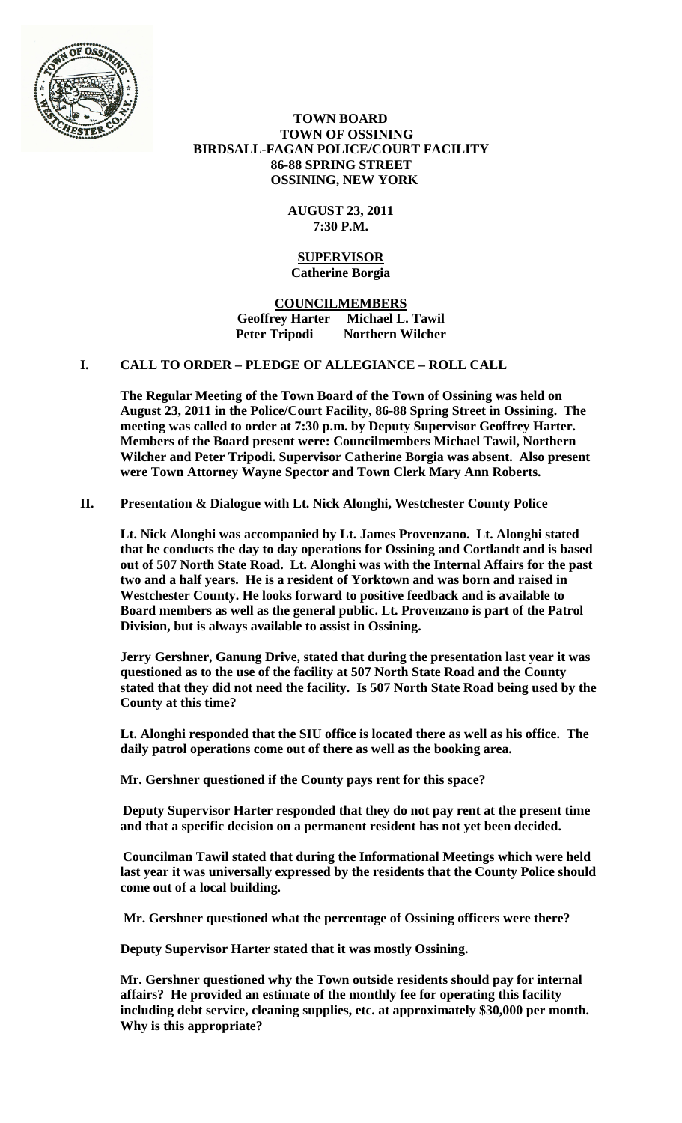

 **TOWN BOARD TOWN OF OSSINING BIRDSALL-FAGAN POLICE/COURT FACILITY 86-88 SPRING STREET OSSINING, NEW YORK**

> **AUGUST 23, 2011 7:30 P.M.**

#### **SUPERVISOR Catherine Borgia**

**COUNCILMEMBERS Geoffrey Harter Michael L. Tawil Peter Tripodi Northern Wilcher**

## **I. CALL TO ORDER – PLEDGE OF ALLEGIANCE – ROLL CALL**

**The Regular Meeting of the Town Board of the Town of Ossining was held on August 23, 2011 in the Police/Court Facility, 86-88 Spring Street in Ossining. The meeting was called to order at 7:30 p.m. by Deputy Supervisor Geoffrey Harter. Members of the Board present were: Councilmembers Michael Tawil, Northern Wilcher and Peter Tripodi. Supervisor Catherine Borgia was absent. Also present were Town Attorney Wayne Spector and Town Clerk Mary Ann Roberts.**

# **II. Presentation & Dialogue with Lt. Nick Alonghi, Westchester County Police**

**Lt. Nick Alonghi was accompanied by Lt. James Provenzano. Lt. Alonghi stated that he conducts the day to day operations for Ossining and Cortlandt and is based out of 507 North State Road. Lt. Alonghi was with the Internal Affairs for the past two and a half years. He is a resident of Yorktown and was born and raised in Westchester County. He looks forward to positive feedback and is available to Board members as well as the general public. Lt. Provenzano is part of the Patrol Division, but is always available to assist in Ossining.**

**Jerry Gershner, Ganung Drive, stated that during the presentation last year it was questioned as to the use of the facility at 507 North State Road and the County stated that they did not need the facility. Is 507 North State Road being used by the County at this time?** 

**Lt. Alonghi responded that the SIU office is located there as well as his office. The daily patrol operations come out of there as well as the booking area.**

**Mr. Gershner questioned if the County pays rent for this space?**

**Deputy Supervisor Harter responded that they do not pay rent at the present time and that a specific decision on a permanent resident has not yet been decided.**

**Councilman Tawil stated that during the Informational Meetings which were held last year it was universally expressed by the residents that the County Police should come out of a local building.**

**Mr. Gershner questioned what the percentage of Ossining officers were there?** 

**Deputy Supervisor Harter stated that it was mostly Ossining.** 

**Mr. Gershner questioned why the Town outside residents should pay for internal affairs? He provided an estimate of the monthly fee for operating this facility including debt service, cleaning supplies, etc. at approximately \$30,000 per month. Why is this appropriate?**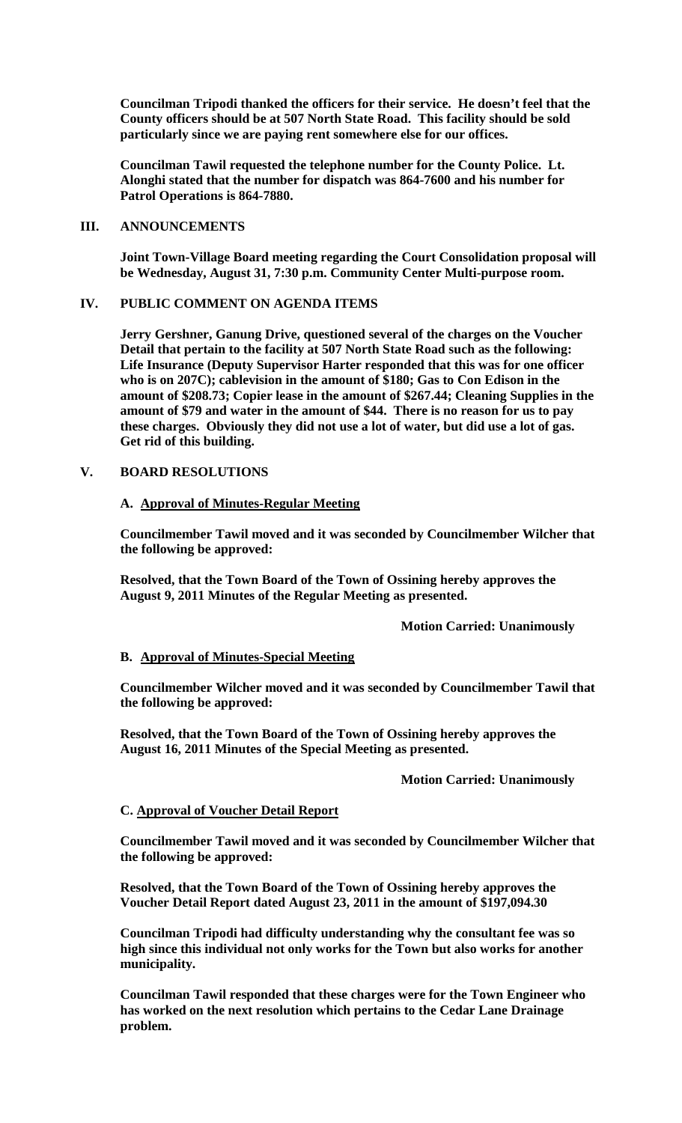**Councilman Tripodi thanked the officers for their service. He doesn't feel that the County officers should be at 507 North State Road. This facility should be sold particularly since we are paying rent somewhere else for our offices.**

**Councilman Tawil requested the telephone number for the County Police. Lt. Alonghi stated that the number for dispatch was 864-7600 and his number for Patrol Operations is 864-7880.**

## **III. ANNOUNCEMENTS**

**Joint Town-Village Board meeting regarding the Court Consolidation proposal will be Wednesday, August 31, 7:30 p.m. Community Center Multi-purpose room.**

### **IV. PUBLIC COMMENT ON AGENDA ITEMS**

**Jerry Gershner, Ganung Drive, questioned several of the charges on the Voucher Detail that pertain to the facility at 507 North State Road such as the following: Life Insurance (Deputy Supervisor Harter responded that this was for one officer who is on 207C); cablevision in the amount of \$180; Gas to Con Edison in the amount of \$208.73; Copier lease in the amount of \$267.44; Cleaning Supplies in the amount of \$79 and water in the amount of \$44. There is no reason for us to pay these charges. Obviously they did not use a lot of water, but did use a lot of gas. Get rid of this building.**

### **V. BOARD RESOLUTIONS**

### **A. Approval of Minutes-Regular Meeting**

**Councilmember Tawil moved and it was seconded by Councilmember Wilcher that the following be approved:**

**Resolved, that the Town Board of the Town of Ossining hereby approves the August 9, 2011 Minutes of the Regular Meeting as presented.**

#### **Motion Carried: Unanimously**

#### **B. Approval of Minutes-Special Meeting**

**Councilmember Wilcher moved and it was seconded by Councilmember Tawil that the following be approved:**

**Resolved, that the Town Board of the Town of Ossining hereby approves the August 16, 2011 Minutes of the Special Meeting as presented.**

## **Motion Carried: Unanimously**

#### **C. Approval of Voucher Detail Report**

**Councilmember Tawil moved and it was seconded by Councilmember Wilcher that the following be approved:**

**Resolved, that the Town Board of the Town of Ossining hereby approves the Voucher Detail Report dated August 23, 2011 in the amount of \$197,094.30**

**Councilman Tripodi had difficulty understanding why the consultant fee was so high since this individual not only works for the Town but also works for another municipality.** 

**Councilman Tawil responded that these charges were for the Town Engineer who has worked on the next resolution which pertains to the Cedar Lane Drainage problem.**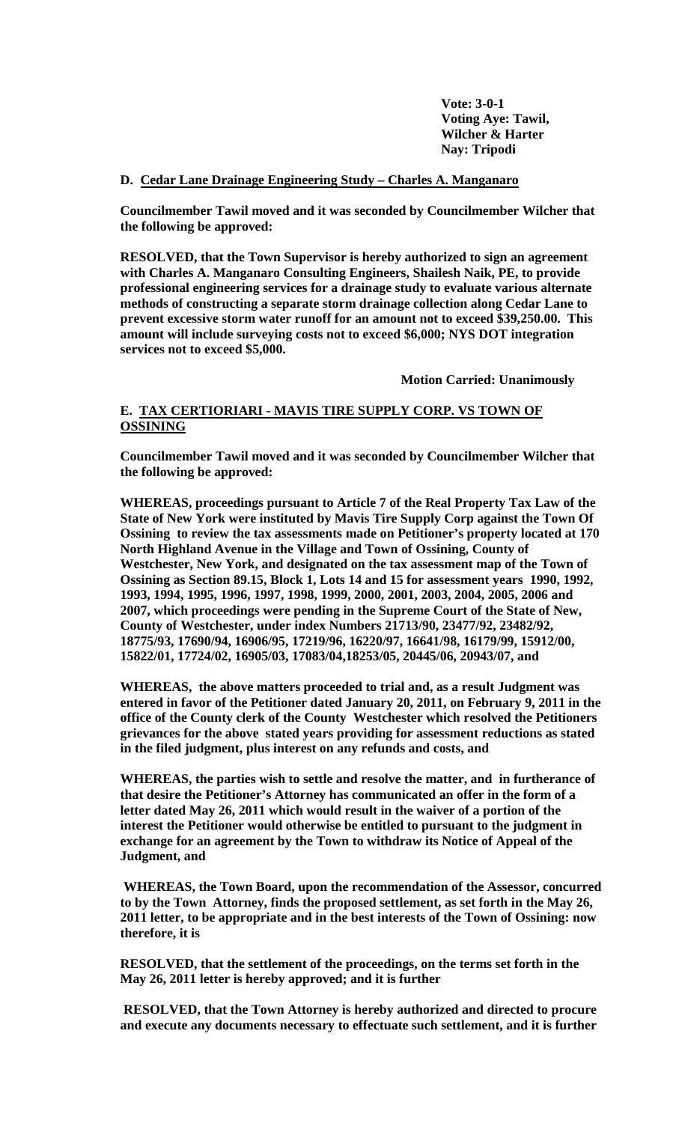**Vote: 3-0-1 Voting Aye: Tawil, Wilcher & Harter Nay: Tripodi**

### **D. Cedar Lane Drainage Engineering Study – Charles A. Manganaro**

**Councilmember Tawil moved and it was seconded by Councilmember Wilcher that the following be approved:**

**RESOLVED, that the Town Supervisor is hereby authorized to sign an agreement with Charles A. Manganaro Consulting Engineers, Shailesh Naik, PE, to provide professional engineering services for a drainage study to evaluate various alternate methods of constructing a separate storm drainage collection along Cedar Lane to prevent excessive storm water runoff for an amount not to exceed \$39,250.00. This amount will include surveying costs not to exceed \$6,000; NYS DOT integration services not to exceed \$5,000.**

**Motion Carried: Unanimously**

## **E. TAX CERTIORIARI - MAVIS TIRE SUPPLY CORP. VS TOWN OF OSSINING**

**Councilmember Tawil moved and it was seconded by Councilmember Wilcher that the following be approved:**

**WHEREAS, proceedings pursuant to Article 7 of the Real Property Tax Law of the State of New York were instituted by Mavis Tire Supply Corp against the Town Of Ossining to review the tax assessments made on Petitioner's property located at 170 North Highland Avenue in the Village and Town of Ossining, County of Westchester, New York, and designated on the tax assessment map of the Town of Ossining as Section 89.15, Block 1, Lots 14 and 15 for assessment years 1990, 1992, 1993, 1994, 1995, 1996, 1997, 1998, 1999, 2000, 2001, 2003, 2004, 2005, 2006 and 2007, which proceedings were pending in the Supreme Court of the State of New, County of Westchester, under index Numbers 21713/90, 23477/92, 23482/92, 18775/93, 17690/94, 16906/95, 17219/96, 16220/97, 16641/98, 16179/99, 15912/00, 15822/01, 17724/02, 16905/03, 17083/04,18253/05, 20445/06, 20943/07, and**

**WHEREAS, the above matters proceeded to trial and, as a result Judgment was entered in favor of the Petitioner dated January 20, 2011, on February 9, 2011 in the office of the County clerk of the County Westchester which resolved the Petitioners grievances for the above stated years providing for assessment reductions as stated in the filed judgment, plus interest on any refunds and costs, and**

**WHEREAS, the parties wish to settle and resolve the matter, and in furtherance of that desire the Petitioner's Attorney has communicated an offer in the form of a letter dated May 26, 2011 which would result in the waiver of a portion of the interest the Petitioner would otherwise be entitled to pursuant to the judgment in exchange for an agreement by the Town to withdraw its Notice of Appeal of the Judgment, and** 

**WHEREAS, the Town Board, upon the recommendation of the Assessor, concurred to by the Town Attorney, finds the proposed settlement, as set forth in the May 26, 2011 letter, to be appropriate and in the best interests of the Town of Ossining: now therefore, it is**

**RESOLVED, that the settlement of the proceedings, on the terms set forth in the May 26, 2011 letter is hereby approved; and it is further**

**RESOLVED, that the Town Attorney is hereby authorized and directed to procure and execute any documents necessary to effectuate such settlement, and it is further**